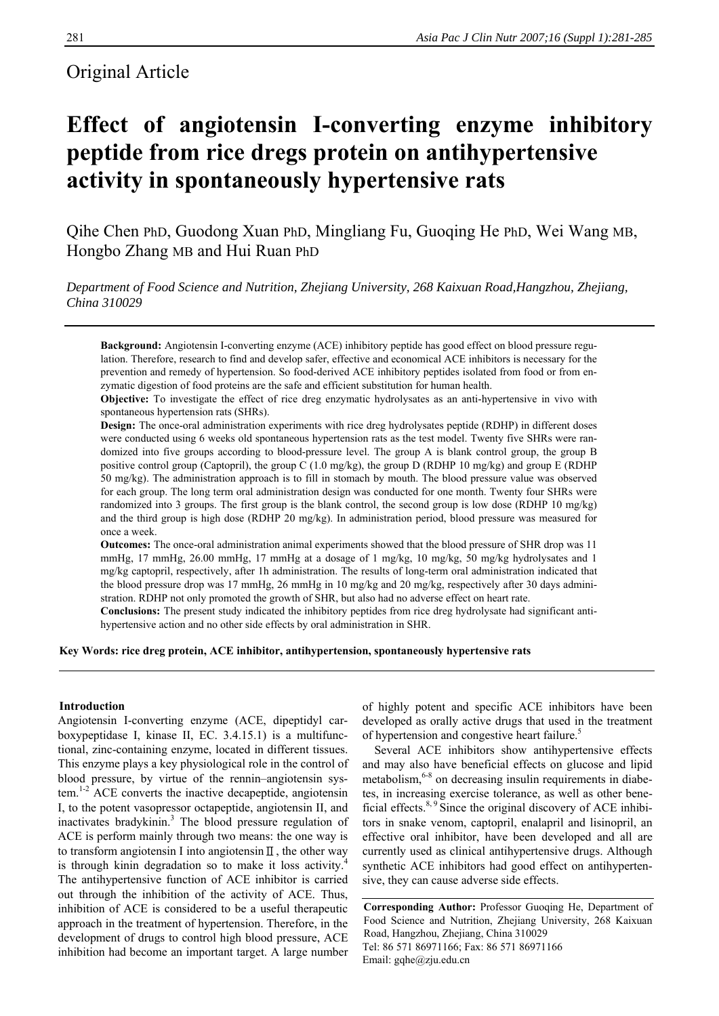# Original Article

# **Effect of angiotensin І-converting enzyme inhibitory peptide from rice dregs protein on antihypertensive activity in spontaneously hypertensive rats**

Qihe Chen PhD, Guodong Xuan PhD, Mingliang Fu, Guoqing He PhD, Wei Wang MB, Hongbo Zhang MB and Hui Ruan PhD

*Department of Food Science and Nutrition, Zhejiang University, 268 Kaixuan Road,Hangzhou, Zhejiang, China 310029* 

**Background:** Angiotensin І-converting enzyme (ACE) inhibitory peptide has good effect on blood pressure regulation. Therefore, research to find and develop safer, effective and economical ACE inhibitors is necessary for the prevention and remedy of hypertension. So food-derived ACE inhibitory peptides isolated from food or from enzymatic digestion of food proteins are the safe and efficient substitution for human health.

**Objective:** To investigate the effect of rice dreg enzymatic hydrolysates as an anti-hypertensive in vivo with spontaneous hypertension rats (SHRs).

**Design:** The once-oral administration experiments with rice dreg hydrolysates peptide (RDHP) in different doses were conducted using 6 weeks old spontaneous hypertension rats as the test model. Twenty five SHRs were randomized into five groups according to blood-pressure level. The group A is blank control group, the group B positive control group (Captopril), the group C (1.0 mg/kg), the group D (RDHP 10 mg/kg) and group E (RDHP 50 mg/kg). The administration approach is to fill in stomach by mouth. The blood pressure value was observed for each group. The long term oral administration design was conducted for one month. Twenty four SHRs were randomized into 3 groups. The first group is the blank control, the second group is low dose (RDHP 10 mg/kg) and the third group is high dose (RDHP 20 mg/kg). In administration period, blood pressure was measured for once a week.

**Outcomes:** The once-oral administration animal experiments showed that the blood pressure of SHR drop was 11 mmHg, 17 mmHg, 26.00 mmHg, 17 mmHg at a dosage of 1 mg/kg, 10 mg/kg, 50 mg/kg hydrolysates and 1 mg/kg captopril, respectively, after 1h administration. The results of long-term oral administration indicated that the blood pressure drop was 17 mmHg, 26 mmHg in 10 mg/kg and 20 mg/kg, respectively after 30 days administration. RDHP not only promoted the growth of SHR, but also had no adverse effect on heart rate.

**Conclusions:** The present study indicated the inhibitory peptides from rice dreg hydrolysate had significant antihypertensive action and no other side effects by oral administration in SHR.

#### **Key Words: rice dreg protein, ACE inhibitor, antihypertension, spontaneously hypertensive rats**

#### **Introduction**

Angiotensin I-converting enzyme (ACE, dipeptidyl carboxypeptidase I, kinase II, EC. 3.4.15.1) is a multifunctional, zinc-containing enzyme, located in different tissues. This enzyme plays a key physiological role in the control of blood pressure, by virtue of the rennin–angiotensin system.1-2 ACE converts the inactive decapeptide, angiotensin I, to the potent vasopressor octapeptide, angiotensin II, and inactivates bradykinin.<sup>3</sup> The blood pressure regulation of ACE is perform mainly through two means: the one way is to transform angiotensin І into angiotensinⅡ, the other way is through kinin degradation so to make it loss activity.<sup>4</sup> The antihypertensive function of ACE inhibitor is carried out through the inhibition of the activity of ACE. Thus, inhibition of ACE is considered to be a useful therapeutic approach in the treatment of hypertension. Therefore, in the development of drugs to control high blood pressure, ACE inhibition had become an important target. A large number of highly potent and specific ACE inhibitors have been developed as orally active drugs that used in the treatment of hypertension and congestive heart failure.<sup>5</sup>

Several ACE inhibitors show antihypertensive effects and may also have beneficial effects on glucose and lipid metabolism,<sup>6-8</sup> on decreasing insulin requirements in diabetes, in increasing exercise tolerance, as well as other beneficial effects. $8, 9$  Since the original discovery of ACE inhibitors in snake venom, captopril, enalapril and lisinopril, an effective oral inhibitor, have been developed and all are currently used as clinical antihypertensive drugs. Although synthetic ACE inhibitors had good effect on antihypertensive, they can cause adverse side effects.

**Corresponding Author:** Professor Guoqing He, Department of Food Science and Nutrition, Zhejiang University, 268 Kaixuan Road, Hangzhou, Zhejiang, China 310029 Tel: 86 571 86971166; Fax: 86 571 86971166 Email: gqhe@zju.edu.cn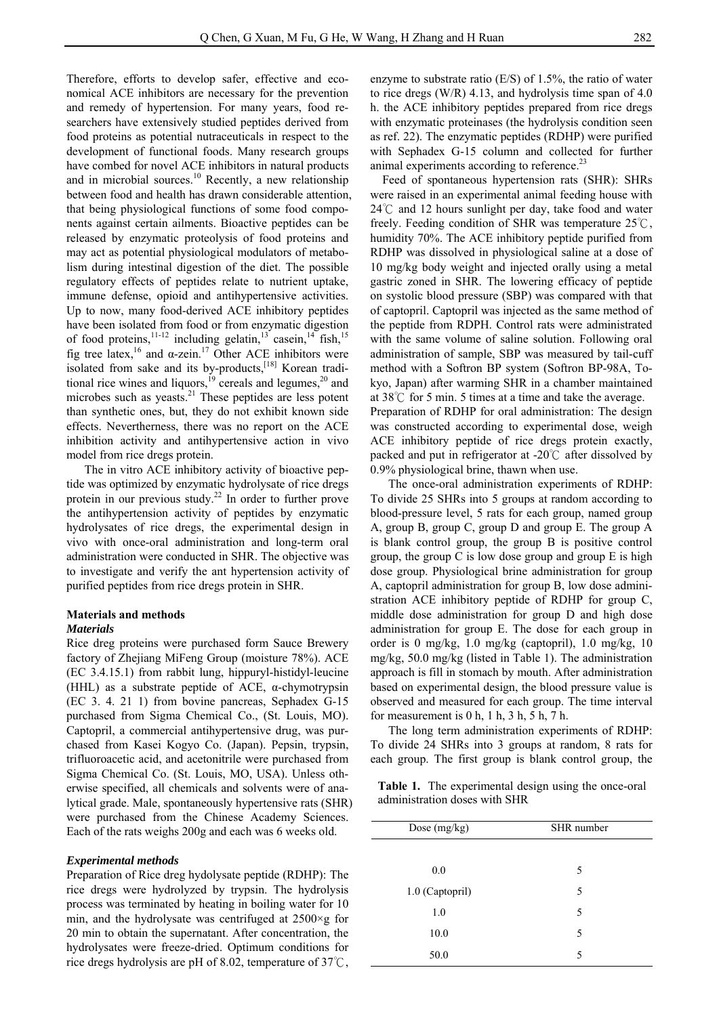Therefore, efforts to develop safer, effective and economical ACE inhibitors are necessary for the prevention and remedy of hypertension. For many years, food researchers have extensively studied peptides derived from food proteins as potential nutraceuticals in respect to the development of functional foods. Many research groups have combed for novel ACE inhibitors in natural products and in microbial sources. $\frac{10}{10}$  Recently, a new relationship between food and health has drawn considerable attention, that being physiological functions of some food components against certain ailments. Bioactive peptides can be released by enzymatic proteolysis of food proteins and may act as potential physiological modulators of metabolism during intestinal digestion of the diet. The possible regulatory effects of peptides relate to nutrient uptake, immune defense, opioid and antihypertensive activities. Up to now, many food-derived ACE inhibitory peptides have been isolated from food or from enzymatic digestion of food proteins,<sup>11-12</sup> including gelatin,<sup>13</sup> casein,<sup>14</sup> fish,<sup>15</sup> fig tree latex,<sup>16</sup> and α-zein.<sup>17</sup> Other ACE inhibitors were isolated from sake and its by-products,[18] Korean traditional rice wines and liquors,<sup>19</sup> cereals and legumes, $20$  and microbes such as yeasts. $^{21}$  These peptides are less potent than synthetic ones, but, they do not exhibit known side effects. Nevertherness, there was no report on the ACE inhibition activity and antihypertensive action in vivo model from rice dregs protein.

The in vitro ACE inhibitory activity of bioactive peptide was optimized by enzymatic hydrolysate of rice dregs protein in our previous study.<sup>22</sup> In order to further prove the antihypertension activity of peptides by enzymatic hydrolysates of rice dregs, the experimental design in vivo with once-oral administration and long-term oral administration were conducted in SHR. The objective was to investigate and verify the ant hypertension activity of purified peptides from rice dregs protein in SHR.

# **Materials and methods**

#### *Materials*

Rice dreg proteins were purchased form Sauce Brewery factory of Zhejiang MiFeng Group (moisture 78%). ACE (EC 3.4.15.1) from rabbit lung, hippuryl-histidyl-leucine (HHL) as a substrate peptide of ACE,  $\alpha$ -chymotrypsin (EC 3. 4. 21 1) from bovine pancreas, Sephadex G-15 purchased from Sigma Chemical Co., (St. Louis, MO). Captopril, a commercial antihypertensive drug, was purchased from Kasei Kogyo Co. (Japan). Pepsin, trypsin, trifluoroacetic acid, and acetonitrile were purchased from Sigma Chemical Co. (St. Louis, MO, USA). Unless otherwise specified, all chemicals and solvents were of analytical grade. Male, spontaneously hypertensive rats (SHR) were purchased from the Chinese Academy Sciences. Each of the rats weighs 200g and each was 6 weeks old.

#### *Experimental methods*

Preparation of Rice dreg hydolysate peptide (RDHP): The rice dregs were hydrolyzed by trypsin. The hydrolysis process was terminated by heating in boiling water for 10 min, and the hydrolysate was centrifuged at  $2500 \times g$  for 20 min to obtain the supernatant. After concentration, the hydrolysates were freeze-dried. Optimum conditions for rice dregs hydrolysis are pH of 8.02, temperature of  $37^{\circ}\text{C}$ ,

enzyme to substrate ratio (E/S) of 1.5%, the ratio of water to rice dregs (W/R) 4.13, and hydrolysis time span of 4.0 h. the ACE inhibitory peptides prepared from rice dregs with enzymatic proteinases (the hydrolysis condition seen as ref. 22). The enzymatic peptides (RDHP) were purified with Sephadex G-15 column and collected for further animal experiments according to reference.<sup>23</sup>

Feed of spontaneous hypertension rats (SHR): SHRs were raised in an experimental animal feeding house with 24℃ and 12 hours sunlight per day, take food and water freely. Feeding condition of SHR was temperature 25℃, humidity 70%. The ACE inhibitory peptide purified from RDHP was dissolved in physiological saline at a dose of 10 mg/kg body weight and injected orally using a metal gastric zoned in SHR. The lowering efficacy of peptide on systolic blood pressure (SBP) was compared with that of captopril. Captopril was injected as the same method of the peptide from RDPH. Control rats were administrated with the same volume of saline solution. Following oral administration of sample, SBP was measured by tail-cuff method with a Softron BP system (Softron BP-98A, Tokyo, Japan) after warming SHR in a chamber maintained at 38℃ for 5 min. 5 times at a time and take the average. Preparation of RDHP for oral administration: The design was constructed according to experimental dose, weigh ACE inhibitory peptide of rice dregs protein exactly, packed and put in refrigerator at -20℃ after dissolved by 0.9% physiological brine, thawn when use.

The once-oral administration experiments of RDHP: To divide 25 SHRs into 5 groups at random according to blood-pressure level, 5 rats for each group, named group A, group B, group C, group D and group E. The group A is blank control group, the group B is positive control group, the group C is low dose group and group E is high dose group. Physiological brine administration for group A, captopril administration for group B, low dose administration ACE inhibitory peptide of RDHP for group C, middle dose administration for group D and high dose administration for group E. The dose for each group in order is 0 mg/kg, 1.0 mg/kg (captopril), 1.0 mg/kg, 10 mg/kg, 50.0 mg/kg (listed in Table 1). The administration approach is fill in stomach by mouth. After administration based on experimental design, the blood pressure value is observed and measured for each group. The time interval for measurement is 0 h, 1 h, 3 h, 5 h, 7 h.

The long term administration experiments of RDHP: To divide 24 SHRs into 3 groups at random, 8 rats for each group. The first group is blank control group, the

**Table 1.** The experimental design using the once-oral administration doses with SHR

| Dose (mg/kg)    | SHR number |  |  |
|-----------------|------------|--|--|
|                 |            |  |  |
| 0.0             | 5          |  |  |
| 1.0 (Captopril) | 5          |  |  |
| 1.0             | 5          |  |  |
| 10.0            | 5          |  |  |
| 50.0            | 5          |  |  |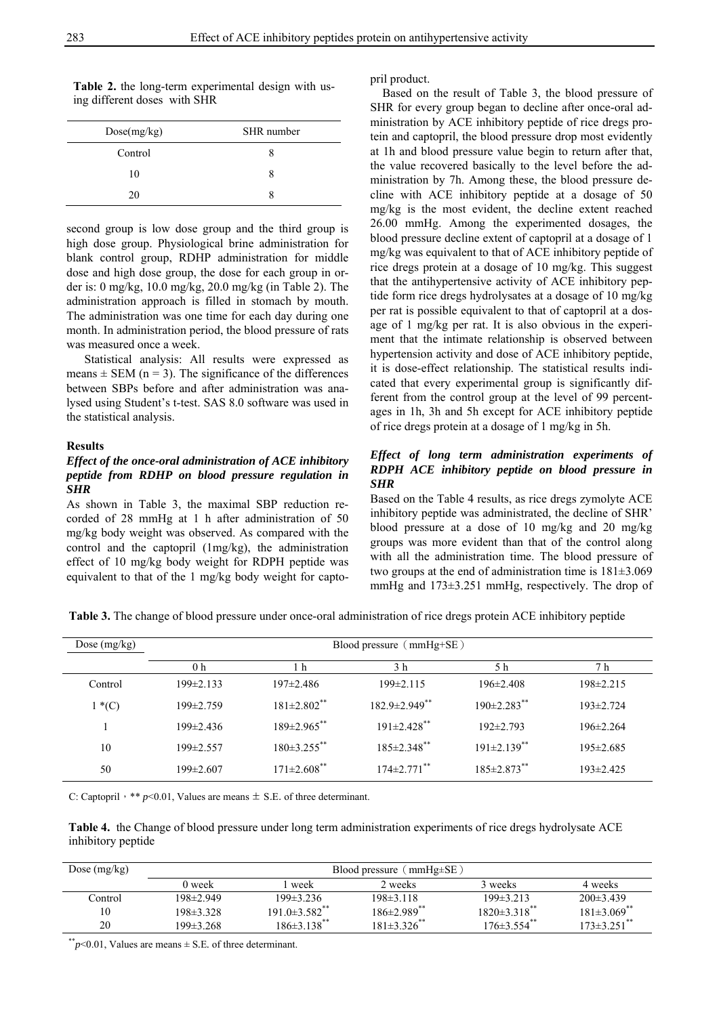| I<br>×<br>۰, | I<br>۰.<br>× |
|--------------|--------------|

| Table 2. the long-term experimental design with us- |  |  |
|-----------------------------------------------------|--|--|
| ing different doses with SHR                        |  |  |

| Dose(mg/kg) | SHR number |
|-------------|------------|
| Control     |            |
| 10          | x          |
| 20          |            |

second group is low dose group and the third group is high dose group. Physiological brine administration for blank control group, RDHP administration for middle dose and high dose group, the dose for each group in order is: 0 mg/kg, 10.0 mg/kg, 20.0 mg/kg (in Table 2). The administration approach is filled in stomach by mouth. The administration was one time for each day during one month. In administration period, the blood pressure of rats was measured once a week.

Statistical analysis: All results were expressed as means  $\pm$  SEM (n = 3). The significance of the differences between SBPs before and after administration was analysed using Student's t-test. SAS 8.0 software was used in the statistical analysis.

#### **Results**

## *Effect of the once-oral administration of ACE inhibitory peptide from RDHP on blood pressure regulation in SHR*

As shown in Table 3, the maximal SBP reduction recorded of 28 mmHg at 1 h after administration of 50 mg/kg body weight was observed. As compared with the control and the captopril (1mg/kg), the administration effect of 10 mg/kg body weight for RDPH peptide was equivalent to that of the 1 mg/kg body weight for captopril product.

Based on the result of Table 3, the blood pressure of SHR for every group began to decline after once-oral administration by ACE inhibitory peptide of rice dregs protein and captopril, the blood pressure drop most evidently at 1h and blood pressure value begin to return after that, the value recovered basically to the level before the administration by 7h. Among these, the blood pressure decline with ACE inhibitory peptide at a dosage of 50 mg/kg is the most evident, the decline extent reached 26.00 mmHg. Among the experimented dosages, the blood pressure decline extent of captopril at a dosage of 1 mg/kg was equivalent to that of ACE inhibitory peptide of rice dregs protein at a dosage of 10 mg/kg. This suggest that the antihypertensive activity of ACE inhibitory peptide form rice dregs hydrolysates at a dosage of 10 mg/kg per rat is possible equivalent to that of captopril at a dosage of 1 mg/kg per rat. It is also obvious in the experiment that the intimate relationship is observed between hypertension activity and dose of ACE inhibitory peptide, it is dose-effect relationship. The statistical results indicated that every experimental group is significantly different from the control group at the level of 99 percentages in 1h, 3h and 5h except for ACE inhibitory peptide of rice dregs protein at a dosage of 1 mg/kg in 5h.

### *Effect of long term administration experiments of RDPH ACE inhibitory peptide on blood pressure in SHR*

Based on the Table 4 results, as rice dregs zymolyte ACE inhibitory peptide was administrated, the decline of SHR' blood pressure at a dose of 10 mg/kg and 20 mg/kg groups was more evident than that of the control along with all the administration time. The blood pressure of two groups at the end of administration time is 181±3.069 mmHg and 173±3.251 mmHg, respectively. The drop of

**Table 3.** The change of blood pressure under once-oral administration of rice dregs protein ACE inhibitory peptide

| Dose $(mg/kg)$ | Blood pressure (mmHg+SE) |                               |                      |                               |                 |
|----------------|--------------------------|-------------------------------|----------------------|-------------------------------|-----------------|
|                | 0 <sub>h</sub>           | 1 h                           | 3 h                  | 5 h                           | 7 h             |
| Control        | $199\pm 2.133$           | $197\pm2.486$                 | $199\pm2.115$        | $196 \pm 2.408$               | $198 \pm 2.215$ |
| $1*(C)$        | 199±2.759                | $181 \pm 2.802$ <sup>**</sup> | $182.9 \pm 2.949$ ** | $190 \pm 2.283$ <sup>**</sup> | $193 \pm 2.724$ |
|                | $199\pm 2.436$           | $189 \pm 2.965$ **            | $191 \pm 2.428$ **   | $192 \pm 2.793$               | $196 \pm 2.264$ |
| 10             | $199 \pm 2.557$          | $180\pm3.255$ **              | $185 \pm 2.348$ **   | $191\pm2.139$ **              | $195 \pm 2.685$ |
| 50             | $199 \pm 2.607$          | $171\pm2.608$ **              | $174 \pm 2.771$ **   | $185 \pm 2.873$ **            | $193\pm2.425$   |

C: Captopril, \*\*  $p<0.01$ , Values are means  $\pm$  S.E. of three determinant.

**Table 4.** the Change of blood pressure under long term administration experiments of rice dregs hydrolysate ACE inhibitory peptide

| Dose $(mg/kg)$ | $\text{mmHg} \pm \text{SE}$ )<br>Blood pressure |                                 |                             |                     |                             |
|----------------|-------------------------------------------------|---------------------------------|-----------------------------|---------------------|-----------------------------|
|                | 0 week                                          | week                            | 2 weeks                     | 3 weeks             | 4 weeks                     |
| Control        | 198±2.949                                       | $199\pm3.236$                   | $198 \pm 3.118$             | $199\pm3.213$       | $200\pm3.439$               |
| 10             | 198±3.328                                       | $191.0 \pm 3.582$ <sup>**</sup> | $186\pm2.989$ <sup>**</sup> | $1820 \pm 3.318$ ** | $181\pm3.069$ <sup>**</sup> |
| 20             | 199±3.268                                       | $186 \pm 3.138$ <sup>**</sup>   | $181\pm3.326$ **            | $176 \pm 3.554$ **  | $173 \pm 3.251$ **          |

\*\**p*<0.01, Values are means ± S*.*E*.* of three determinant.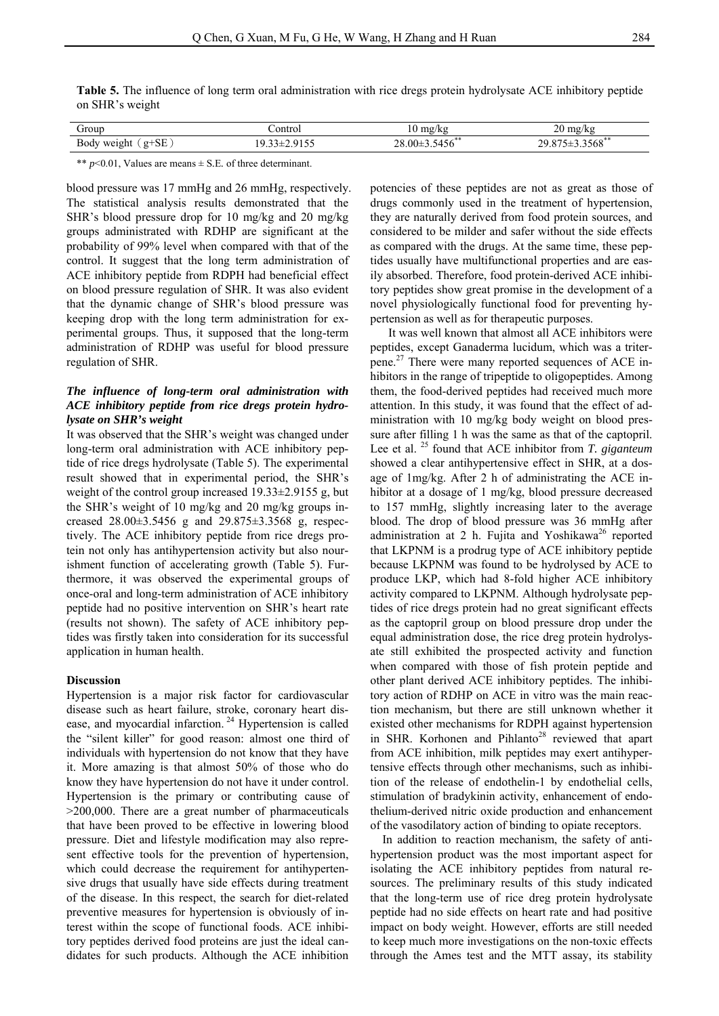**Table 5.** The influence of long term oral administration with rice dregs protein hydrolysate ACE inhibitory peptide on SHR's weight

| <i>drour</i>                                                                | `∩ntr∩ | $m\alpha$<br>,,,,,<br>$\sim$ | ້            |
|-----------------------------------------------------------------------------|--------|------------------------------|--------------|
| $\alpha$ $\mathbf{r}$<br><sub>pod</sub><br>$\cdot$<br>نتدت<br>-<br><u>.</u> |        | $\cap$<br>ሰበ<br>+20          | 00 د د.<br>- |

\*\* *p*<0.01, Values are means ± S*.*E*.* of three determinant.

blood pressure was 17 mmHg and 26 mmHg, respectively. The statistical analysis results demonstrated that the SHR's blood pressure drop for 10 mg/kg and 20 mg/kg groups administrated with RDHP are significant at the probability of 99% level when compared with that of the control. It suggest that the long term administration of ACE inhibitory peptide from RDPH had beneficial effect on blood pressure regulation of SHR. It was also evident that the dynamic change of SHR's blood pressure was keeping drop with the long term administration for experimental groups. Thus, it supposed that the long-term administration of RDHP was useful for blood pressure regulation of SHR.

# *The influence of long-term oral administration with ACE inhibitory peptide from rice dregs protein hydrolysate on SHR's weight*

It was observed that the SHR's weight was changed under long-term oral administration with ACE inhibitory peptide of rice dregs hydrolysate (Table 5). The experimental result showed that in experimental period, the SHR's weight of the control group increased 19.33±2.9155 g, but the SHR's weight of 10 mg/kg and 20 mg/kg groups increased 28.00±3.5456 g and 29.875±3.3568 g, respectively. The ACE inhibitory peptide from rice dregs protein not only has antihypertension activity but also nourishment function of accelerating growth (Table 5). Furthermore, it was observed the experimental groups of once-oral and long-term administration of ACE inhibitory peptide had no positive intervention on SHR's heart rate (results not shown). The safety of ACE inhibitory peptides was firstly taken into consideration for its successful application in human health.

#### **Discussion**

Hypertension is a major risk factor for cardiovascular disease such as heart failure, stroke, coronary heart disease, and myocardial infarction.<sup>24</sup> Hypertension is called the "silent killer" for good reason: almost one third of individuals with hypertension do not know that they have it. More amazing is that almost 50% of those who do know they have hypertension do not have it under control. Hypertension is the primary or contributing cause of >200,000. There are a great number of pharmaceuticals that have been proved to be effective in lowering blood pressure. Diet and lifestyle modification may also represent effective tools for the prevention of hypertension, which could decrease the requirement for antihypertensive drugs that usually have side effects during treatment of the disease. In this respect, the search for diet-related preventive measures for hypertension is obviously of interest within the scope of functional foods. ACE inhibitory peptides derived food proteins are just the ideal candidates for such products. Although the ACE inhibition

potencies of these peptides are not as great as those of drugs commonly used in the treatment of hypertension, they are naturally derived from food protein sources, and considered to be milder and safer without the side effects as compared with the drugs. At the same time, these peptides usually have multifunctional properties and are easily absorbed. Therefore, food protein-derived ACE inhibitory peptides show great promise in the development of a novel physiologically functional food for preventing hypertension as well as for therapeutic purposes.

It was well known that almost all ACE inhibitors were peptides, except Ganaderma lucidum, which was a triterpene.27 There were many reported sequences of ACE inhibitors in the range of tripeptide to oligopeptides. Among them, the food-derived peptides had received much more attention. In this study, it was found that the effect of administration with 10 mg/kg body weight on blood pressure after filling 1 h was the same as that of the captopril. Lee et al. 25 found that ACE inhibitor from *T. giganteum*  showed a clear antihypertensive effect in SHR, at a dosage of 1mg/kg. After 2 h of administrating the ACE inhibitor at a dosage of 1 mg/kg, blood pressure decreased to 157 mmHg, slightly increasing later to the average blood. The drop of blood pressure was 36 mmHg after administration at 2 h. Fujita and Yoshikawa<sup>26</sup> reported that LKPNM is a prodrug type of ACE inhibitory peptide because LKPNM was found to be hydrolysed by ACE to produce LKP, which had 8-fold higher ACE inhibitory activity compared to LKPNM. Although hydrolysate peptides of rice dregs protein had no great significant effects as the captopril group on blood pressure drop under the equal administration dose, the rice dreg protein hydrolysate still exhibited the prospected activity and function when compared with those of fish protein peptide and other plant derived ACE inhibitory peptides. The inhibitory action of RDHP on ACE in vitro was the main reaction mechanism, but there are still unknown whether it existed other mechanisms for RDPH against hypertension in SHR. Korhonen and Pihlanto<sup>28</sup> reviewed that apart from ACE inhibition, milk peptides may exert antihypertensive effects through other mechanisms, such as inhibition of the release of endothelin-1 by endothelial cells, stimulation of bradykinin activity, enhancement of endothelium-derived nitric oxide production and enhancement of the vasodilatory action of binding to opiate receptors.

In addition to reaction mechanism, the safety of antihypertension product was the most important aspect for isolating the ACE inhibitory peptides from natural resources. The preliminary results of this study indicated that the long-term use of rice dreg protein hydrolysate peptide had no side effects on heart rate and had positive impact on body weight. However, efforts are still needed to keep much more investigations on the non-toxic effects through the Ames test and the MTT assay, its stability